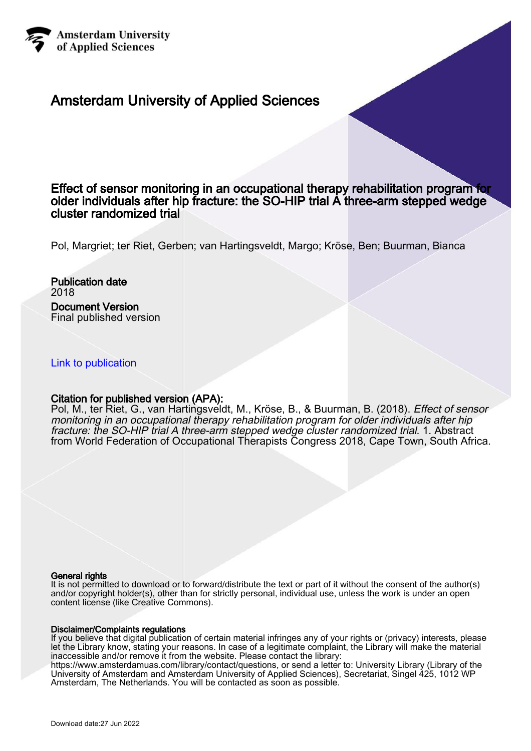

# Amsterdam University of Applied Sciences

# Effect of sensor monitoring in an occupational therapy rehabilitation program for older individuals after hip fracture: the SO-HIP trial A three-arm stepped wedge cluster randomized trial

Pol, Margriet; ter Riet, Gerben; van Hartingsveldt, Margo; Kröse, Ben; Buurman, Bianca

Publication date 2018 Document Version Final published version

# [Link to publication](https://research.hva.nl/en/publications/0c4f3b60-b776-4659-a5a6-34dc617e8a56)

#### Citation for published version (APA):

Pol, M., ter Riet, G., van Hartingsveldt, M., Kröse, B., & Buurman, B. (2018). Effect of sensor monitoring in an occupational therapy rehabilitation program for older individuals after hip fracture: the SO-HIP trial A three-arm stepped wedge cluster randomized trial. 1. Abstract from World Federation of Occupational Therapists Congress 2018, Cape Town, South Africa.

#### General rights

It is not permitted to download or to forward/distribute the text or part of it without the consent of the author(s) and/or copyright holder(s), other than for strictly personal, individual use, unless the work is under an open content license (like Creative Commons).

#### Disclaimer/Complaints regulations

If you believe that digital publication of certain material infringes any of your rights or (privacy) interests, please let the Library know, stating your reasons. In case of a legitimate complaint, the Library will make the material inaccessible and/or remove it from the website. Please contact the library:

https://www.amsterdamuas.com/library/contact/questions, or send a letter to: University Library (Library of the University of Amsterdam and Amsterdam University of Applied Sciences), Secretariat, Singel 425, 1012 WP Amsterdam, The Netherlands. You will be contacted as soon as possible.